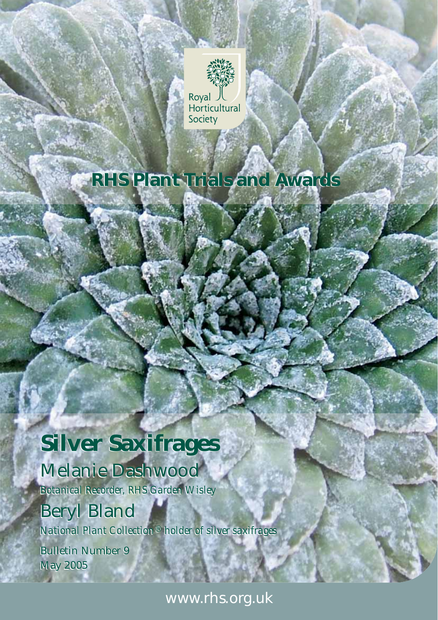

## **RHS Plant Trials and Awards RHS Plant Trials and Awards**

# **Silver Saxifrages Silver Saxifrages**

## Melanie Dashwood Melanie Dashwood

*Botanical Recorder, RHS Garden Wisley Botanical Recorder, RHS Garden Wisley*

## Beryl Bland Beryl Bland

*National Plant Collection® holder of silver saxifrages National Plant Collection® holder of silver saxifrages*

Bulletin Number 9 Bulletin Number 9 May 2005 May 2005

www.rhs.org.uk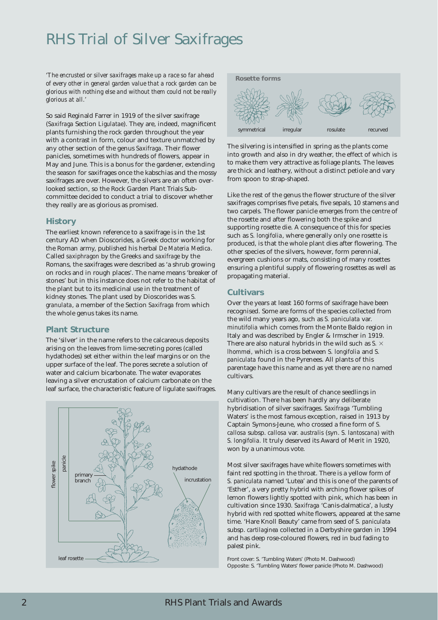## RHS Trial of Silver Saxifrages

*'The encrusted or silver saxifrages make up a race so far ahead of every other in general garden value that a rock garden can be glorious with nothing else and without them could not be really glorious at all.'*

So said Reginald Farrer in 1919 of the silver saxifrage (*Saxifraga* Section *Ligulatae*). They are, indeed, magnificent plants furnishing the rock garden throughout the year with a contrast in form, colour and texture unmatched by any other section of the genus *Saxifraga*. Their flower panicles, sometimes with hundreds of flowers, appear in May and June. This is a bonus for the gardener, extending the season for saxifrages once the kabschias and the mossy saxifrages are over. However, the silvers are an often overlooked section, so the Rock Garden Plant Trials Subcommittee decided to conduct a trial to discover whether they really are as glorious as promised.

#### **History**

The earliest known reference to a saxifrage is in the 1st century AD when Dioscorides, a Greek doctor working for the Roman army, published his herbal *De Materia Medica*. Called *saxiphragon* by the Greeks and *saxifrage* by the Romans, the saxifrages were described as 'a shrub growing on rocks and in rough places'. The name means 'breaker of stones' but in this instance does not refer to the habitat of the plant but to its medicinal use in the treatment of kidney stones. The plant used by Dioscorides was *S. granulata*, a member of the Section *Saxifraga* from which the whole genus takes its name.

#### **Plant Structure**

The 'silver' in the name refers to the calcareous deposits arising on the leaves from lime-secreting pores (called hydathodes) set either within the leaf margins or on the upper surface of the leaf. The pores secrete a solution of water and calcium bicarbonate. The water evaporates leaving a silver encrustation of calcium carbonate on the leaf surface, the characteristic feature of ligulate saxifrages.





The silvering is intensified in spring as the plants come into growth and also in dry weather, the effect of which is to make them very attractive as foliage plants. The leaves are thick and leathery, without a distinct petiole and vary from spoon to strap-shaped.

Like the rest of the genus the flower structure of the silver saxifrages comprises five petals, five sepals, 10 stamens and two carpels. The flower panicle emerges from the centre of the rosette and after flowering both the spike and supporting rosette die. A consequence of this for species such as *S. longifolia*, where generally only one rosette is produced, is that the whole plant dies after flowering. The other species of the silvers, however, form perennial, evergreen cushions or mats, consisting of many rosettes ensuring a plentiful supply of flowering rosettes as well as propagating material.

#### **Cultivars**

Over the years at least 160 forms of saxifrage have been recognised. Some are forms of the species collected from the wild many years ago, such as *S. paniculata* var. *minutifolia* which comes from the Monte Baldo region in Italy and was described by Engler & Irmscher in 1919. There are also natural hybrids in the wild such as *S.*  $\times$ *lhommei,* which is a cross between *S. longifolia* and *S. paniculata* found in the Pyrenees. All plants of this parentage have this name and as yet there are no named cultivars.

Many cultivars are the result of chance seedlings in cultivation. There has been hardly any deliberate hybridisation of silver saxifrages. *Saxifraga* 'Tumbling Waters' is the most famous exception, raised in 1913 by Captain Symons-Jeune, who crossed a fine form of *S. callosa* subsp. *callosa* var. *australis* (syn. *S. lantoscana)* with *S. longifolia.* It truly deserved its Award of Merit in 1920, won by a unanimous vote.

Most silver saxifrages have white flowers sometimes with faint red spotting in the throat. There is a yellow form of *S. paniculata* named 'Lutea' and this is one of the parents of 'Esther', a very pretty hybrid with arching flower spikes of lemon flowers lightly spotted with pink, which has been in cultivation since 1930. *Saxifraga* 'Canis-dalmatica', a lusty hybrid with red spotted white flowers, appeared at the same time. 'Hare Knoll Beauty' came from seed of *S. paniculata* subsp. *cartilaginea* collected in a Derbyshire garden in 1994 and has deep rose-coloured flowers, red in bud fading to palest pink.

Front cover: *S.* 'Tumbling Waters' (Photo M. Dashwood) Opposite: *S.* 'Tumbling Waters' flower panicle (Photo M. Dashwood)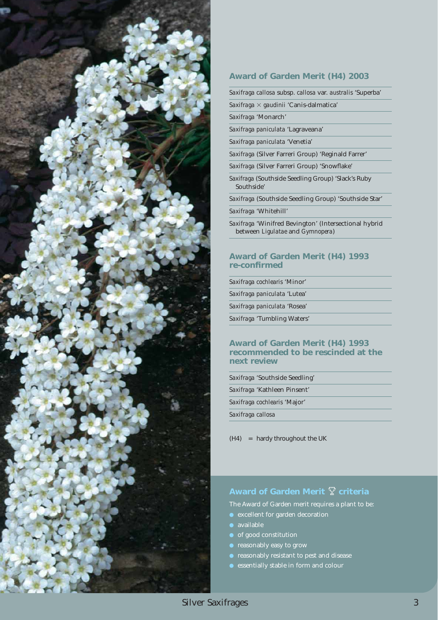

#### **Award of Garden Merit (H4) 2003**

*Saxifraga callosa* subsp. *callosa* var. *australis* 'Superba'

*Saxifraga* - *gaudinii* 'Canis-dalmatica'

*Saxifraga* 'Monarch'

*Saxifraga paniculata* 'Lagraveana'

*Saxifraga paniculata* 'Venetia'

*Saxifraga* (Silver Farreri Group) 'Reginald Farrer'

- *Saxifraga* (Silver Farreri Group) 'Snowflake'
- *Saxifraga* (Southside Seedling Group) 'Slack's Ruby Southside'

*Saxifraga* (Southside Seedling Group) 'Southside Star'

*Saxifraga* 'Whitehill'

*Saxifraga* 'Winifred Bevington' (Intersectional hybrid between *Ligulatae* and *Gymnopera*)

#### **Award of Garden Merit (H4) 1993 re-confirmed**

*Saxifraga cochlearis* 'Minor' *Saxifraga paniculata* 'Lutea' *Saxifraga paniculata* 'Rosea'

*Saxifraga* 'Tumbling Waters'

#### **Award of Garden Merit (H4) 1993 recommended to be rescinded at the next review**

| Saxifraga 'Southside Seedling'      |  |
|-------------------------------------|--|
| Saxifraga 'Kathleen Pinsent'        |  |
| <i>Saxifraga cochlearis</i> 'Major' |  |
| Saxifraga callosa                   |  |

(H4) = hardy throughout the UK

#### Award of Garden Merit  $\mathbb {Y}$  criteria

The Award of Garden merit requires a plant to be:

- excellent for garden decoration
- available
- of good constitution
- $\bullet$  reasonably easy to grow
- **•** reasonably resistant to pest and disease
- essentially stable in form and colour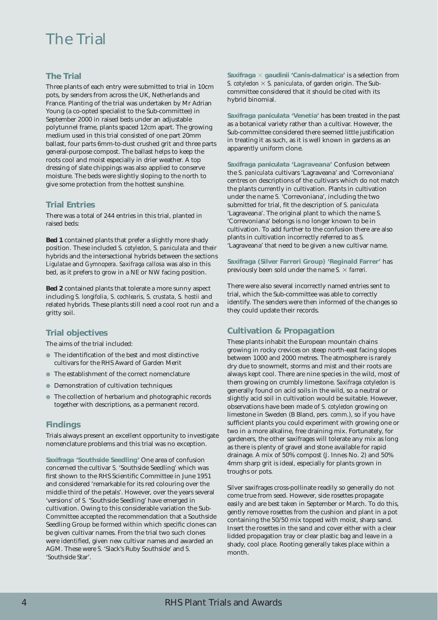### The Trial

#### **The Trial**

Three plants of each entry were submitted to trial in 10cm pots, by senders from across the UK, Netherlands and France. Planting of the trial was undertaken by Mr Adrian Young (a co-opted specialist to the Sub-committee) in September 2000 in raised beds under an adjustable polytunnel frame, plants spaced 12cm apart. The growing medium used in this trial consisted of one part 20mm ballast, four parts 6mm-to-dust crushed grit and three parts general-purpose compost. The ballast helps to keep the roots cool and moist especially in drier weather. A top dressing of slate chippings was also applied to conserve moisture. The beds were slightly sloping to the north to give some protection from the hottest sunshine.

#### **Trial Entries**

There was a total of 244 entries in this trial, planted in raised beds:

**Bed 1** contained plants that prefer a slightly more shady position. These included *S. cotyledon, S. paniculata* and their hybrids and the intersectional hybrids between the sections *Ligulatae* and *Gymnopera*. *Saxifraga callosa* was also in this bed, as it prefers to grow in a NE or NW facing position.

**Bed 2** contained plants that tolerate a more sunny aspect including *S. longifolia, S. cochlearis, S. crustata, S. hostii* and related hybrids. These plants still need a cool root run and a gritty soil.

#### **Trial objectives**

The aims of the trial included:

- The identification of the best and most distinctive cultivars for the RHS Award of Garden Merit
- The establishment of the correct nomenclature
- **Demonstration of cultivation techniques**
- $\bullet$  The collection of herbarium and photographic records together with descriptions, as a permanent record.

#### **Findings**

Trials always present an excellent opportunity to investigate nomenclature problems and this trial was no exception.

*Saxifraga* **'Southside Seedling'** One area of confusion concerned the cultivar *S.* 'Southside Seedling' which was first shown to the RHS Scientific Committee in June 1951 and considered 'remarkable for its red colouring over the middle third of the petals'. However, over the years several 'versions' of *S.* 'Southside Seedling' have emerged in cultivation. Owing to this considerable variation the Sub-Committee accepted the recommendation that a Southside Seedling Group be formed within which specific clones can be given cultivar names. From the trial two such clones were identified, given new cultivar names and awarded an AGM. These were *S.* 'Slack's Ruby Southside' and *S.* 'Southside Star'.

*Saxifraga* - *gaudinii* **'Canis-dalmatica'** is a selection from *S. cotyledon*  $\times$  *S. paniculata*, of garden origin. The Subcommittee considered that it should be cited with its hybrid binomial.

*Saxifraga paniculata* **'Venetia'** has been treated in the past as a botanical variety rather than a cultivar. However, the Sub-committee considered there seemed little justification in treating it as such, as it is well known in gardens as an apparently uniform clone.

*Saxifraga paniculata* **'Lagraveana'** Confusion between the *S. paniculata* cultivars 'Lagraveana' and 'Correvoniana' centres on descriptions of the cultivars which do not match the plants currently in cultivation. Plants in cultivation under the name *S.* 'Correvoniana', including the two submitted for trial, fit the description of *S. paniculata* 'Lagraveana'. The original plant to which the name *S.* 'Correvoniana' belongs is no longer known to be in cultivation. To add further to the confusion there are also plants in cultivation incorrectly referred to as *S.* 'Lagraveana' that need to be given a new cultivar name.

*Saxifraga* **(Silver Farreri Group) 'Reginald Farrer'** has previously been sold under the name  $S. \times$  *farreri.* 

There were also several incorrectly named entries sent to trial, which the Sub-committee was able to correctly identify. The senders were then informed of the changes so they could update their records.

#### **Cultivation & Propagation**

These plants inhabit the European mountain chains growing in rocky crevices on steep north-east facing slopes between 1000 and 2000 metres. The atmosphere is rarely dry due to snowmelt, storms and mist and their roots are always kept cool. There are nine species in the wild, most of them growing on crumbly limestone. *Saxifraga cotyledon* is generally found on acid soils in the wild, so a neutral or slightly acid soil in cultivation would be suitable. However, observations have been made of *S. cotyledon* growing on limestone in Sweden (B Bland, *pers. comm.*), so if you have sufficient plants you could experiment with growing one or two in a more alkaline, free draining mix. Fortunately, for gardeners, the other saxifrages will tolerate any mix as long as there is plenty of gravel and stone available for rapid drainage. A mix of 50% compost (J. Innes No. 2) and 50% 4mm sharp grit is ideal, especially for plants grown in troughs or pots.

Silver saxifrages cross-pollinate readily so generally do not come true from seed. However, side rosettes propagate easily and are best taken in September or March. To do this, gently remove rosettes from the cushion and plant in a pot containing the 50/50 mix topped with moist, sharp sand. Insert the rosettes in the sand and cover either with a clear lidded propagation tray or clear plastic bag and leave in a shady, cool place. Rooting generally takes place within a month.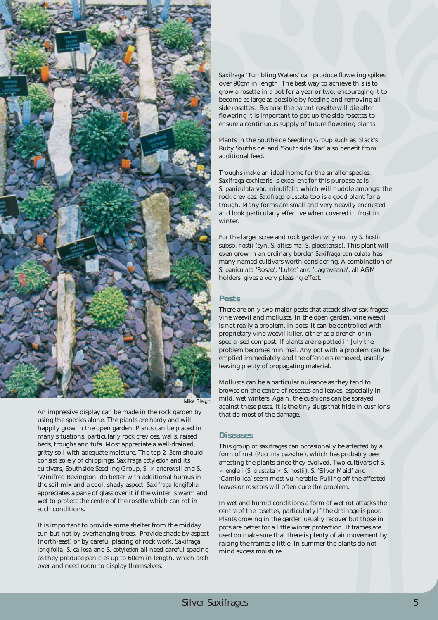

An impressive display can be made in the rock garden by using the species alone. The plants are hardy and will happily grow in the open garden. Plants can be placed in many situations, particularly rock crevices, walls, raised beds, troughs and tufa. Most appreciate a well-drained, gritty soil with adequate moisture. The top 2–3cm should consist solely of chippings. *Saxifraga cotyledon* and its cultivars, Southside Seedling Group,  $S \times$  *andrewsii* and  $S$ . 'Winifred Bevington' do better with additional humus in the soil mix and a cool, shady aspect. *Saxifraga longifolia* appreciates a pane of glass over it if the winter is warm and wet to protect the centre of the rosette which can rot in such conditions.

It is important to provide some shelter from the midday sun but not by overhanging trees. Provide shade by aspect (north-east) or by careful placing of rock work. *Saxifraga longifolia*, *S. callosa* and *S. cotyledon* all need careful spacing as they produce panicles up to 60cm in length, which arch over and need room to display themselves.

*Saxifraga* 'Tumbling Waters' can produce flowering spikes over 90cm in length. The best way to achieve this is to grow a rosette in a pot for a year or two, encouraging it to become as large as possible by feeding and removing all side rosettes. Because the parent rosette will die after flowering it is important to pot up the side rosettes to ensure a continuous supply of future flowering plants.

Plants in the Southside Seedling Group such as 'Slack's Ruby Southside' and 'Southside Star' also benefit from additional feed.

Troughs make an ideal home for the smaller species. *Saxifraga cochlearis* is excellent for this purpose as is *S. paniculata* var. *minutifolia* which will huddle amongst the rock crevices. *Saxifraga crustata* too is a good plant for a trough. Many forms are small and very heavily encrusted and look particularly effective when covered in frost in winter.

For the larger scree and rock garden why not try *S. hostii* subsp. *hostii* (syn. *S. altissima*; *S. ploeckensis*). This plant will even grow in an ordinary border. *Saxifraga paniculata* has many named cultivars worth considering. A combination of *S. paniculata* 'Rosea', 'Lutea' and 'Lagraveana', all AGM holders, gives a very pleasing effect.

#### **Pests**

There are only two major pests that attack silver saxifrages; vine weevil and molluscs. In the open garden, vine weevil is not really a problem. In pots, it can be controlled with proprietary vine weevil killer, either as a drench or in specialised compost. If plants are re-potted in July the problem becomes minimal. Any pot with a problem can be emptied immediately and the offenders removed, usually leaving plenty of propagating material.

Molluscs can be a particular nuisance as they tend to browse on the centre of rosettes and leaves, especially in mild, wet winters. Again, the cushions can be sprayed against these pests. It is the tiny slugs that hide in cushions that do most of the damage.

#### **Diseases**

This group of saxifrages can occasionally be affected by a form of rust (*Puccinia pazschei*), which has probably been affecting the plants since they evolved. Two cultivars of *S.*  $\times$  *engleri* (*S. crustata*  $\times$  *S. hostii*), *S.* 'Silver Maid' and 'Carniolica' seem most vulnerable. Pulling off the affected leaves or rosettes will often cure the problem.

In wet and humid conditions a form of wet rot attacks the centre of the rosettes, particularly if the drainage is poor. Plants growing in the garden usually recover but those in pots are better for a little winter protection. If frames are used do make sure that there is plenty of air movement by raising the frames a little. In summer the plants do not mind excess moisture.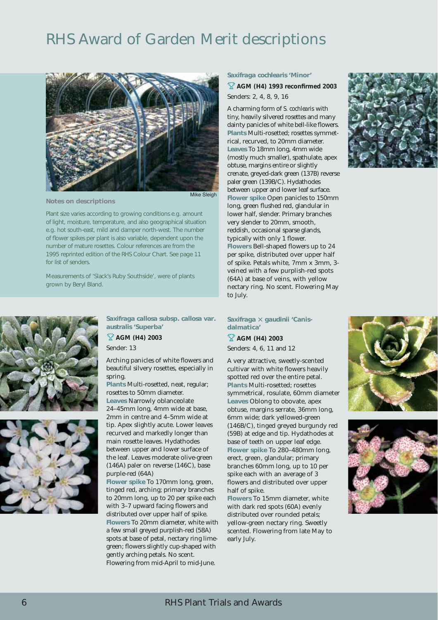### RHS Award of Garden Merit descriptions



**Notes on descriptions**

Mike Sleigh

Plant size varies according to growing conditions e.g. amount of light, moisture, temperature, and also geographical situation e.g. hot south-east, mild and damper north-west. The number of flower spikes per plant is also variable, dependent upon the number of mature rosettes. Colour references are from the 1995 reprinted edition of the RHS Colour Chart. See page 11 for list of senders.

Measurements of 'Slack's Ruby Southside', were of plants grown by Beryl Bland.



*Saxifraga callosa* **subsp***. callosa* **var***. australis '***Superba***'*

**AGM (H4) 2003**

Sender: 13

Arching panicles of white flowers and beautiful silvery rosettes, especially in spring.

**Plants** Multi-rosetted, neat, regular; rosettes to 50mm diameter. **Leaves** Narrowly oblanceolate 24–45mm long, 4mm wide at base, 2mm in centre and 4–5mm wide at tip. Apex slightly acute. Lower leaves recurved and markedly longer than main rosette leaves. Hydathodes between upper and lower surface of the leaf. Leaves moderate olive-green (146A) paler on reverse (146C), base purple-red (64A)

**Flower spike** To 170mm long, green, tinged red, arching; primary branches to 20mm long, up to 20 per spike each with 3–7 upward facing flowers and distributed over upper half of spike. **Flowers** To 20mm diameter, white with a few small greyed purplish-red (58A) spots at base of petal, nectary ring limegreen; flowers slightly cup-shaped with gently arching petals. No scent. Flowering from mid-April to mid-June.

#### *Saxifraga cochlearis* **'Minor'**

**AGM (H4) 1993 reconfirmed 2003** Senders: 2, 4, 8, 9, 16

A charming form of *S. cochlearis* with tiny, heavily silvered rosettes and many dainty panicles of white bell-like flowers. **Plants** Multi-rosetted; rosettes symmetrical, recurved, to 20mm diameter. **Leaves** To 18mm long, 4mm wide (mostly much smaller), spathulate, apex obtuse, margins entire or slightly crenate, greyed-dark green (137B) reverse paler green (139B/C). Hydathodes between upper and lower leaf surface. **Flower spike** Open panicles to 150mm long, green flushed red, glandular in lower half, slender. Primary branches very slender to 20mm, smooth, reddish, occasional sparse glands, typically with only 1 flower. **Flowers** Bell-shaped flowers up to 24 per spike, distributed over upper half of spike. Petals white, 7mm x 3mm, 3 veined with a few purplish-red spots (64A) at base of veins, with yellow nectary ring. No scent. Flowering May to July.



#### Saxifraga  $\times$  gaudinii 'Canis**dalmatica'**

**AGM (H4) 2003** Senders: 4, 6, 11 and 12

A very attractive, sweetly-scented cultivar with white flowers heavily spotted red over the entire petal. **Plants** Multi-rosetted; rosettes symmetrical, rosulate, 60mm diameter **Leaves** Oblong to obovate, apex obtuse, margins serrate, 36mm long, 6mm wide; dark yellowed-green (146B/C), tinged greyed burgundy red (59B) at edge and tip. Hydathodes at base of teeth on upper leaf edge. **Flower spike** To 280–480mm long, erect, green, glandular; primary branches 60mm long, up to 10 per spike each with an average of 3 flowers and distributed over upper half of spike.

**Flowers** To 15mm diameter, white with dark red spots (60A) evenly distributed over rounded petals; yellow-green nectary ring. Sweetly scented. Flowering from late May to early July.



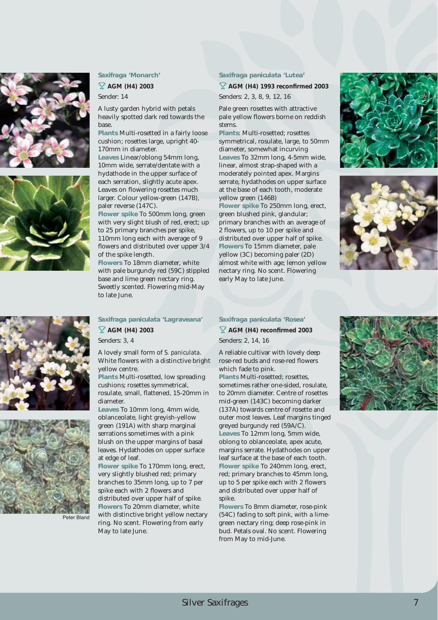





**AGM (H4) 2003**

Sender: 14

A lusty garden hybrid with petals heavily spotted dark red towards the base.

**Plants** Multi-rosetted in a fairly loose cushion; rosettes large, upright 40- 170mm in diameter.

**Leaves** Linear/oblong 54mm long, 10mm wide, serrate/dentate with a hydathode in the upper surface of each serration, slightly acute apex. Leaves on flowering rosettes much larger. Colour yellow-green (147B), paler reverse (147C).

**Flower spike** To 500mm long, green with very slight blush of red, erect; up to 25 primary branches per spike, 110mm long each with average of 9 flowers and distributed over upper 3/4 of the spike length.

**Flowers** To 18mm diameter, white with pale burgundy red (59C) stippled base and lime green nectary ring. Sweetly scented. Flowering mid-May to late June.

#### *Saxifraga paniculata '***Lutea***'*

**AGM (H4) 1993 reconfirmed 2003** Senders: 2, 3, 8, 9, 12, 16

Pale green rosettes with attractive pale yellow flowers borne on reddish stems.

**Plants**: Multi-rosetted; rosettes symmetrical, rosulate, large, to 50mm diameter, somewhat incurving **Leaves** To 32mm long, 4-5mm wide, linear, almost strap-shaped with a moderately pointed apex. Margins serrate, hydathodes on upper surface at the base of each tooth, moderate yellow green (146B)

**Flower spike** To 250mm long, erect, green blushed pink, glandular; primary branches with an average of 2 flowers, up to 10 per spike and distributed over upper half of spike. **Flowers** To 15mm diameter, pale yellow (3C) becoming paler (2D) almost white with age; lemon yellow nectary ring. No scent. Flowering early May to late June.









*Saxifraga paniculata '***Lagraveana***'* **AGM (H4) 2003**

Senders: 3, 4

A lovely small form of *S. paniculata*. White flowers with a distinctive bright yellow centre.

**Plants** Multi-rosetted, low spreading cushions; rosettes symmetrical, rosulate, small, flattened, 15-20mm in diameter.

**Leaves** To 10mm long, 4mm wide, oblanceolate, light greyish-yellow green (191A) with sharp marginal serrations sometimes with a pink blush on the upper margins of basal leaves. Hydathodes on upper surface at edge of leaf.

**Flower spike** To 170mm long, erect, very slightly blushed red; primary branches to 35mm long, up to 7 per spike each with 2 flowers and distributed over upper half of spike. **Flowers** To 20mm diameter, white with distinctive bright yellow nectary ring. No scent. Flowering from early May to late June.

#### *Saxifraga paniculata '***Rosea***'* **AGM (H4) reconfirmed 2003**

Senders: 2, 14, 16

A reliable cultivar with lovely deep rose-red buds and rose-red flowers which fade to pink.

**Plants** Multi-rosetted; rosettes, sometimes rather one-sided, rosulate, to 20mm diameter. Centre of rosettes mid-green (143C) becoming darker (137A) towards centre of rosette and outer most leaves. Leaf margins tinged greyed burgundy red (59A/C). **Leaves** To 12mm long, 5mm wide, oblong to oblanceolate, apex acute, margins serrate. Hydathodes on upper leaf surface at the base of each tooth. **Flower spike** To 240mm long, erect, red; primary branches to 45mm long, up to 5 per spike each with 2 flowers and distributed over upper half of spike.

**Flowers** To 8mm diameter, rose-pink (54C) fading to soft pink, with a limegreen nectary ring; deep rose-pink in bud. Petals oval. No scent. Flowering from May to mid-June.

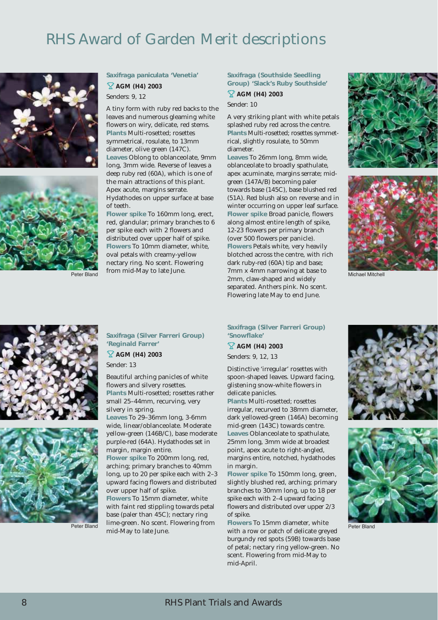## RHS Award of Garden Merit descriptions



#### *Saxifraga paniculata* **'Venetia' AGM (H4) 2003**

Senders: 9, 12

A tiny form with ruby red backs to the leaves and numerous gleaming white flowers on wiry, delicate, red stems. **Plants** Multi-rosetted; rosettes symmetrical, rosulate, to 13mm diameter, olive green (147C). **Leaves** Oblong to oblanceolate, 9mm long, 3mm wide. Reverse of leaves a deep ruby red (60A), which is one of the main attractions of this plant. Apex acute, margins serrate. Hydathodes on upper surface at base of teeth.

**Flower spike** To 160mm long, erect, red, glandular; primary branches to 6 per spike each with 2 flowers and distributed over upper half of spike. **Flowers** To 10mm diameter, white, oval petals with creamy-yellow nectary ring. No scent. Flowering from mid-May to late June.

*Saxifraga* **(Southside Seedling Group) 'Slack's Ruby Southside'** 

**AGM (H4) 2003** Sender: 10

A very striking plant with white petals splashed ruby red across the centre. **Plants** Multi-rosetted; rosettes symmetrical, slightly rosulate, to 50mm diameter.

**Leaves** To 26mm long, 8mm wide, oblanceolate to broadly spathulate, apex acuminate, margins serrate; midgreen (147A/B) becoming paler towards base (145C), base blushed red (51A). Red blush also on reverse and in winter occurring on upper leaf surface. **Flower spike** Broad panicle, flowers along almost entire length of spike, 12-23 flowers per primary branch (over 500 flowers per panicle). **Flowers** Petals white, very heavily blotched across the centre, with rich dark ruby-red (60A) tip and base; 7mm x 4mm narrowing at base to Peter Bland **Peter Bland** Allichell Mitchell (*2mm, claw-shaped and widely* Michael Mitchell (*2mm, claw-shaped and widely* separated. Anthers pink. No scent. Flowering late May to end June.







Peter Bland

*Saxifraga* **(Silver Farreri Group) 'Reginald Farrer'** 

**AGM (H4) 2003**  Sender: 13

Beautiful arching panicles of white flowers and silvery rosettes. **Plants** Multi-rosetted; rosettes rather small 25–44mm, recurving, very

silvery in spring. **Leaves** To 29–36mm long, 3-6mm wide, linear/oblanceolate. Moderate yellow-green (146B/C), base moderate purple-red (64A). Hydathodes set in margin, margin entire.

**Flower spike** To 200mm long, red, arching; primary branches to 40mm long, up to 20 per spike each with 2–3 upward facing flowers and distributed over upper half of spike.

**Flowers** To 15mm diameter, white with faint red stippling towards petal base (paler than 45C); nectary ring lime-green. No scent. Flowering from mid-May to late June.

#### *Saxifraga* **(Silver Farreri Group) 'Snowflake'**

**AGM (H4) 2003**  Senders: 9, 12, 13

Distinctive 'irregular' rosettes with spoon-shaped leaves. Upward facing, glistening snow-white flowers in delicate panicles.

**Plants** Multi-rosetted; rosettes irregular, recurved to 38mm diameter, dark yellowed-green (146A) becoming mid-green (143C) towards centre. **Leaves** Oblanceolate to spathulate, 25mm long, 3mm wide at broadest point, apex acute to right-angled, margins entire, notched, hydathodes in margin.

**Flower spike** To 150mm long, green, slightly blushed red, arching; primary branches to 30mm long, up to 18 per spike each with 2–4 upward facing flowers and distributed over upper 2/3 of spike.

**Flowers** To 15mm diameter, white with a row or patch of delicate greyed burgundy red spots (59B) towards base of petal; nectary ring yellow-green. No scent. Flowering from mid-May to mid-April.





Peter Bland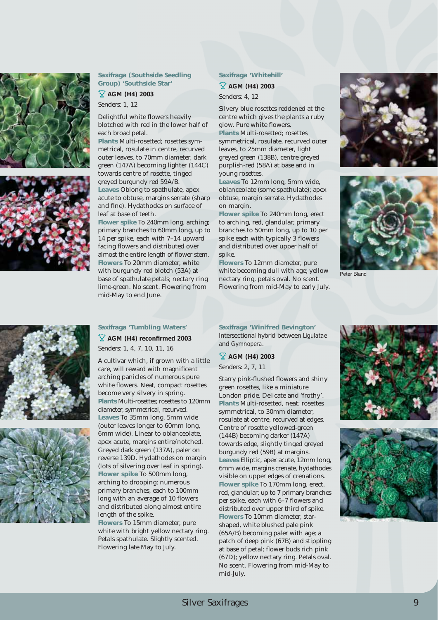

#### *Saxifraga* **(Southside Seedling Group) 'Southside Star'**

**AGM (H4) 2003** 

Senders: 1, 12

Delightful white flowers heavily blotched with red in the lower half of each broad petal.

**Plants** Multi-rosetted; rosettes symmetrical, rosulate in centre, recurved outer leaves, to 70mm diameter, dark green (147A) becoming lighter (144C) towards centre of rosette, tinged greyed burgundy red 59A/B. **Leaves** Oblong to spathulate, apex

acute to obtuse, margins serrate (sharp and fine). Hydathodes on surface of leaf at base of teeth.

**Flower spike** To 240mm long, arching; primary branches to 60mm long, up to 14 per spike, each with 7–14 upward facing flowers and distributed over almost the entire length of flower stem. **Flowers** To 20mm diameter, white with burgundy red blotch (53A) at base of spathulate petals; nectary ring lime-green. No scent. Flowering from mid-May to end June.

#### *Saxifraga* **'Whitehill'**

**AGM (H4) 2003** 

Senders: 4, 12

Silvery blue rosettes reddened at the centre which gives the plants a ruby glow. Pure white flowers. **Plants** Multi-rosetted; rosettes

symmetrical, rosulate, recurved outer leaves, to 25mm diameter, light greyed green (138B), centre greyed purplish-red (58A) at base and in young rosettes.

**Leaves** To 12mm long, 5mm wide, oblanceolate (some spathulate); apex obtuse, margin serrate. Hydathodes on margin.

**Flower spike** To 240mm long, erect to arching, red, glandular; primary branches to 50mm long, up to 10 per spike each with typically 3 flowers and distributed over upper half of spike.

**Flowers** To 12mm diameter, pure white becoming dull with age; yellow nectary ring, petals oval. No scent. Flowering from mid-May to early July.











#### *Saxifraga* **'Tumbling Waters'**

**AGM (H4) reconfirmed 2003**  Senders: 1, 4, 7, 10, 11, 16

A cultivar which, if grown with a little care, will reward with magnificent arching panicles of numerous pure white flowers. Neat, compact rosettes become very silvery in spring. **Plants** Multi-rosettes; rosettes to 120mm diameter, symmetrical, recurved. **Leaves** To 35mm long, 5mm wide (outer leaves longer to 60mm long, 6mm wide). Linear to oblanceolate, apex acute, margins entire/notched. Greyed dark green (137A), paler on reverse 139D. Hydathodes on margin (lots of silvering over leaf in spring). **Flower spike** To 500mm long, arching to drooping; numerous primary branches, each to 100mm long with an average of 10 flowers and distributed along almost entire length of the spike. **Flowers** To 15mm diameter, pure

white with bright yellow nectary ring. Petals spathulate. Slightly scented. Flowering late May to July.

*Saxifraga* **'Winifred Bevington'**  Intersectional hybrid between *Ligulatae* and *Gymnopera*.

**AGM (H4) 2003** 

Senders: 2, 7, 11

Starry pink-flushed flowers and shiny green rosettes, like a miniature London pride. Delicate and 'frothy'. **Plants** Multi-rosetted, neat; rosettes symmetrical, to 30mm diameter, rosulate at centre, recurved at edges. Centre of rosette yellowed-green (144B) becoming darker (147A) towards edge, slightly tinged greyed burgundy red (59B) at margins. **Leaves** Elliptic, apex acute, 12mm long, 6mm wide, margins crenate, hydathodes visible on upper edges of crenations. **Flower spike** To 170mm long, erect, red, glandular; up to 7 primary branches per spike, each with 6–7 flowers and distributed over upper third of spike. **Flowers** To 10mm diameter, starshaped, white blushed pale pink (65A/B) becoming paler with age; a patch of deep pink (67B) and stippling at base of petal; flower buds rich pink (67D); yellow nectary ring. Petals oval. No scent. Flowering from mid-May to mid-July.



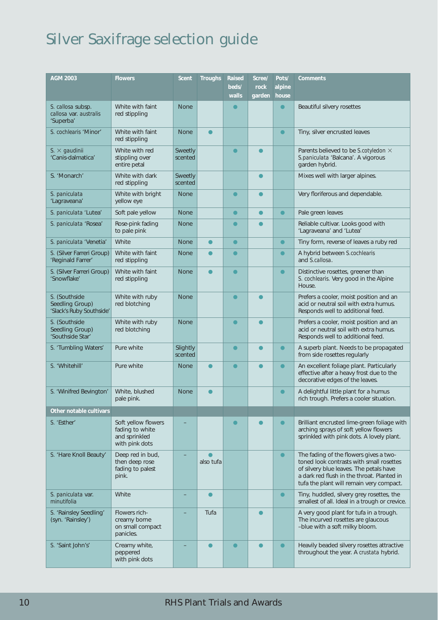## Silver Saxifrage selection guide

| <b>AGM 2003</b>                                              | <b>Flowers</b>                                                            | Scent               | Troughs   | Raised<br>beds/<br>walls | Scree/<br>rock<br>garden | Pots/<br>alpine<br>house | Comments                                                                                                                                                                                                                |
|--------------------------------------------------------------|---------------------------------------------------------------------------|---------------------|-----------|--------------------------|--------------------------|--------------------------|-------------------------------------------------------------------------------------------------------------------------------------------------------------------------------------------------------------------------|
| S. callosa subsp.<br>callosa var. australis<br>'Superba'     | White with faint<br>red stippling                                         | <b>None</b>         |           |                          |                          | $\bullet$                | Beautiful silvery rosettes                                                                                                                                                                                              |
| S. cochlearis 'Minor'                                        | White with faint<br>red stippling                                         | <b>None</b>         | $\bullet$ |                          |                          | $\bullet$                | Tiny, silver encrusted leaves                                                                                                                                                                                           |
| $S. \times$ gaudinii<br>'Canis-dalmatica'                    | White with red<br>stippling over<br>entire petal                          | Sweetly<br>scented  |           | $\bullet$                |                          |                          | Parents believed to be S.cotyledon X<br>S.paniculata 'Balcana'. A vigorous<br>garden hybrid.                                                                                                                            |
| S. 'Monarch'                                                 | White with dark<br>red stippling                                          | Sweetly<br>scented  |           |                          | $\bullet$                |                          | Mixes well with larger alpines.                                                                                                                                                                                         |
| S. paniculata<br>'Lagraveana'                                | White with bright<br>yellow eye                                           | <b>None</b>         |           | $\bullet$                | $\bullet$                |                          | Very floriferous and dependable.                                                                                                                                                                                        |
| S. paniculata 'Lutea'                                        | Soft pale yellow                                                          | <b>None</b>         |           | $\bullet$                | $\bullet$                | $\bullet$                | Pale green leaves                                                                                                                                                                                                       |
| S. paniculata 'Rosea'                                        | Rose-pink fading<br>to pale pink                                          | <b>None</b>         |           | $\bullet$                | $\bullet$                |                          | Reliable cultivar. Looks good with<br>'Lagraveana' and 'Lutea'                                                                                                                                                          |
| S. paniculata 'Venetia'                                      | White                                                                     | <b>None</b>         | $\bullet$ | $\bullet$                |                          | $\bullet$                | Tiny form, reverse of leaves a ruby red                                                                                                                                                                                 |
| S. (Silver Farreri Group)<br>'Reginald Farrer'               | White with faint<br>red stippling                                         | <b>None</b>         |           | $\bullet$                |                          | $\bullet$                | A hybrid between S.cochlearis<br>and S.callosa.                                                                                                                                                                         |
| S. (Silver Farreri Group)<br>'Snowflake'                     | White with faint<br>red stippling                                         | <b>None</b>         |           | $\bullet$                |                          | $\bullet$                | Distinctive rosettes, greener than<br>S. cochlearis. Very good in the Alpine<br>House.                                                                                                                                  |
| S. (Southside<br>Seedling Group)<br>'Slack's Ruby Southside' | White with ruby<br>red blotching                                          | <b>None</b>         |           | $\bullet$                |                          |                          | Prefers a cooler, moist position and an<br>acid or neutral soil with extra humus.<br>Responds well to additional feed.                                                                                                  |
| S. (Southside<br>Seedling Group)<br>'Southside Star'         | White with ruby<br>red blotching                                          | <b>None</b>         |           | $\bullet$                |                          |                          | Prefers a cooler, moist position and an<br>acid or neutral soil with extra humus.<br>Responds well to additional feed.                                                                                                  |
| S. 'Tumbling Waters'                                         | Pure white                                                                | Slightly<br>scented |           | $\bullet$                | $\bullet$                | $\bullet$                | A superb plant. Needs to be propagated<br>from side rosettes regularly                                                                                                                                                  |
| S. 'Whitehill'                                               | Pure white                                                                | <b>None</b>         | $\bullet$ | $\bullet$                |                          | $\bullet$                | An excellent foliage plant. Particularly<br>effective after a heavy frost due to the<br>decorative edges of the leaves.                                                                                                 |
| S. 'Winifred Bevington'                                      | White, blushed<br>pale pink.                                              | <b>None</b>         |           |                          |                          | $\bullet$                | A delightful little plant for a humus<br>rich trough. Prefers a cooler situation.                                                                                                                                       |
| Other notable cultivars                                      |                                                                           |                     |           |                          |                          |                          |                                                                                                                                                                                                                         |
| S. 'Esther'                                                  | Soft yellow flowers<br>fading to white<br>and sprinkled<br>with pink dots |                     |           | $\bullet$                |                          | $\bullet$                | Brilliant encrusted lime-green foliage with<br>arching sprays of soft yellow flowers<br>sprinkled with pink dots. A lovely plant.                                                                                       |
| S. 'Hare Knoll Beauty'                                       | Deep red in bud,<br>then deep rose<br>fading to palest<br>pink.           |                     | also tufa |                          |                          | $\bullet$                | The fading of the flowers gives a two-<br>toned look contrasts with small rosettes<br>of silvery blue leaves. The petals have<br>a dark red flush in the throat. Planted in<br>tufa the plant will remain very compact. |
| S. paniculata var.<br>minutifolia                            | White                                                                     |                     | $\bullet$ |                          |                          | $\bullet$                | Tiny, huddled, silvery grey rosettes, the<br>smallest of all. Ideal in a trough or crevice.                                                                                                                             |
| S. 'Rainsley Seedling'<br>(syn. 'Rainsley')                  | Flowers rich-<br>creamy borne<br>on small compact<br>panicles.            |                     | Tufa      |                          |                          |                          | A very good plant for tufa in a trough.<br>The incurved rosettes are glaucous<br>-blue with a soft milky bloom.                                                                                                         |
| S. 'Saint John's'                                            | Creamy white,<br>peppered<br>with pink dots                               |                     |           |                          |                          | $\bullet$                | Heavily beaded silvery rosettes attractive<br>throughout the year. A crustata hybrid.                                                                                                                                   |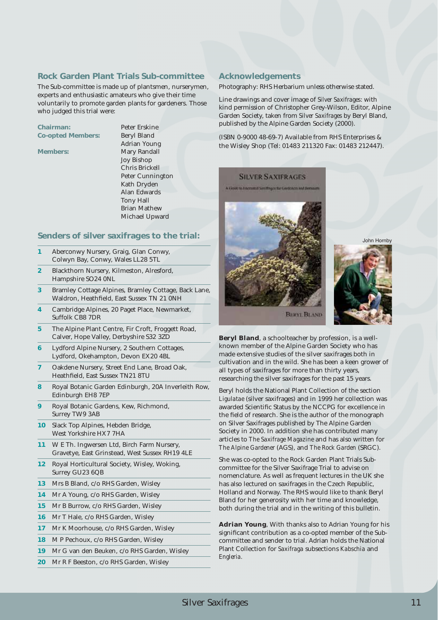#### **Rock Garden Plant Trials Sub-committee**

The Sub-committee is made up of plantsmen, nurserymen, experts and enthusiastic amateurs who give their time voluntarily to promote garden plants for gardeners. Those who judged this trial were:

**Chairman:** Peter Erskine Co-opted Members: **Beryl Bland** 

Adrian Young Members: **Mary Randall** Joy Bishop Chris Brickell Peter Cunnington Kath Dryden Alan Edwards Tony Hall Brian Mathew Michael Upward

#### **Senders of silver saxifrages to the trial:**

- **1** Aberconwy Nursery, Graig, Glan Conwy, Colwyn Bay, Conwy, Wales LL28 5TL
- **2** Blackthorn Nursery, Kilmeston, Alresford, Hampshire SO24 0NL
- **3** Bramley Cottage Alpines, Bramley Cottage, Back Lane, Waldron, Heathfield, East Sussex TN 21 0NH
- **4** Cambridge Alpines, 20 Paget Place, Newmarket, Suffolk CB8 7DR
- **5** The Alpine Plant Centre, Fir Croft, Froggett Road, Calver, Hope Valley, Derbyshire S32 3ZD
- **6** Lydford Alpine Nursery, 2 Southern Cottages, Lydford, Okehampton, Devon EX20 4BL
- **7** Oakdene Nursery, Street End Lane, Broad Oak, Heathfield, East Sussex TN21 8TU
- **8** Royal Botanic Garden Edinburgh, 20A Inverleith Row, Edinburgh EH8 7EP
- **9** Royal Botanic Gardens, Kew, Richmond, Surrey TW9 3AB
- **10** Slack Top Alpines, Hebden Bridge, West Yorkshire HX7 7HA
- **11** W E Th. Ingwersen Ltd, Birch Farm Nursery, Gravetye, East Grinstead, West Sussex RH19 4LE
- **12** Royal Horticultural Society, Wisley, Woking, Surrey GU23 6QB
- **13** Mrs B Bland, c/o RHS Garden, Wisley
- **14** Mr A Young, c/o RHS Garden, Wisley
- **15** Mr B Burrow, c/o RHS Garden, Wisley
- **16** Mr T Hale, c/o RHS Garden, Wisley
- **17** Mr K Moorhouse, c/o RHS Garden, Wisley
- **18** M P Pechoux, c/o RHS Garden, Wisley
- **19** Mr G van den Beuken, c/o RHS Garden, Wisley
- **20** Mr R F Beeston, c/o RHS Garden, Wisley

#### **Acknowledgements**

Photography: RHS Herbarium unless otherwise stated.

Line drawings and cover image of *Silver Saxifrages*: with kind permission of Christopher Grey-Wilson, Editor, Alpine Garden Society, taken from *Silver Saxifrages* by Beryl Bland, published by the Alpine Garden Society (2000).

(ISBN 0-9000 48-69-7) Available from RHS Enterprises & the Wisley Shop (Tel: 01483 211320 Fax: 01483 212447).

#### **SILVER SAXIERAGES**

A Elister to Encrypted Satiffrages for Gardeners and Her





John Hornby

**Beryl Bland**, a schoolteacher by profession, is a wellknown member of the Alpine Garden Society who has made extensive studies of the silver saxifrages both in cultivation and in the wild. She has been a keen grower of all types of saxifrages for more than thirty years, researching the silver saxifrages for the past 15 years.

Beryl holds the National Plant Collection of the section *Ligulatae* (silver saxifrages) and in 1999 her collection was awarded Scientific Status by the NCCPG for excellence in the field of research. She is the author of the monograph on Silver Saxifrages published by The Alpine Garden Society in 2000. In addition she has contributed many articles to *The Saxifrage Magazine* and has also written for *The Alpine Gardener* (AGS), and *The Rock Garden* (SRGC).

She was co-opted to the Rock Garden Plant Trials Subcommittee for the Silver Saxifrage Trial to advise on nomenclature. As well as frequent lectures in the UK she has also lectured on saxifrages in the Czech Republic, Holland and Norway. The RHS would like to thank Beryl Bland for her generosity with her time and knowledge, both during the trial and in the writing of this bulletin.

**Adrian Young**, With thanks also to Adrian Young for his significant contribution as a co-opted member of the Subcommittee and sender to trial. Adrian holds the National Plant Collection for *Saxifraga* subsections *Kabschia* and *Engleria.*